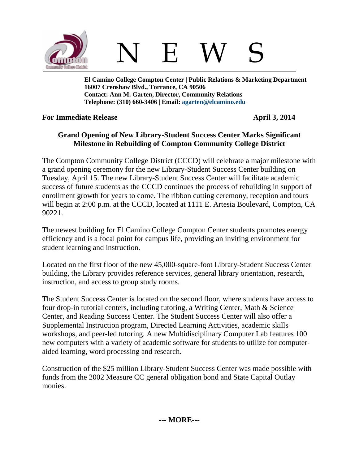

N E W S

**El Camino College Compton Center | Public Relations & Marketing Department 16007 Crenshaw Blvd., Torrance, CA 90506 Contact: Ann M. Garten, Director, Community Relations Telephone: (310) 660-3406 | Email: [agarten@elcamino.edu](mailto:agarten@elcamino.edu)** 

## **For Immediate Release April 3, 2014**

## **Grand Opening of New Library-Student Success Center Marks Significant Milestone in Rebuilding of Compton Community College District**

The Compton Community College District (CCCD) will celebrate a major milestone with a grand opening ceremony for the new Library-Student Success Center building on Tuesday, April 15. The new Library-Student Success Center will facilitate academic success of future students as the CCCD continues the process of rebuilding in support of enrollment growth for years to come. The ribbon cutting ceremony, reception and tours will begin at 2:00 p.m. at the CCCD, located at 1111 E. Artesia Boulevard, Compton, CA 90221.

The newest building for El Camino College Compton Center students promotes energy efficiency and is a focal point for campus life, providing an inviting environment for student learning and instruction.

Located on the first floor of the new 45,000-square-foot Library-Student Success Center building, the Library provides reference services, general library orientation, research, instruction, and access to group study rooms.

The Student Success Center is located on the second floor, where students have access to four drop-in tutorial centers, including tutoring, a Writing Center, Math & Science Center, and Reading Success Center. The Student Success Center will also offer a Supplemental Instruction program, Directed Learning Activities, academic skills workshops, and peer-led tutoring. A new Multidisciplinary Computer Lab features 100 new computers with a variety of academic software for students to utilize for computeraided learning, word processing and research.

Construction of the \$25 million Library-Student Success Center was made possible with funds from the 2002 Measure CC general obligation bond and State Capital Outlay monies.